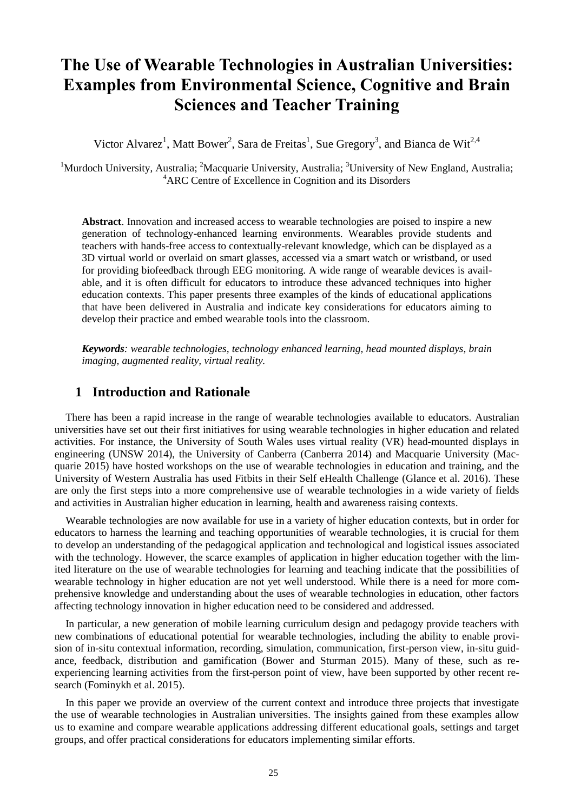# **The Use of Wearable Technologies in Australian Universities: Examples from Environmental Science, Cognitive and Brain Sciences and Teacher Training**

Victor Alvarez<sup>1</sup>, Matt Bower<sup>2</sup>, Sara de Freitas<sup>1</sup>, Sue Gregory<sup>3</sup>, and Bianca de Wit<sup>2,4</sup>

<sup>1</sup>Murdoch University, Australia; <sup>2</sup>Macquarie University, Australia; <sup>3</sup>University of New England, Australia; <sup>4</sup>ARC Centre of Excellence in Cognition and its Disorders

**Abstract**. Innovation and increased access to wearable technologies are poised to inspire a new generation of technology-enhanced learning environments. Wearables provide students and teachers with hands-free access to contextually-relevant knowledge, which can be displayed as a 3D virtual world or overlaid on smart glasses, accessed via a smart watch or wristband, or used for providing biofeedback through EEG monitoring. A wide range of wearable devices is available, and it is often difficult for educators to introduce these advanced techniques into higher education contexts. This paper presents three examples of the kinds of educational applications that have been delivered in Australia and indicate key considerations for educators aiming to develop their practice and embed wearable tools into the classroom.

*Keywords: wearable technologies, technology enhanced learning, head mounted displays, brain imaging, augmented reality, virtual reality.*

# **1 Introduction and Rationale**

There has been a rapid increase in the range of wearable technologies available to educators. Australian universities have set out their first initiatives for using wearable technologies in higher education and related activities. For instance, the University of South Wales uses virtual reality (VR) head-mounted displays in engineering (UNSW 2014), the University of Canberra (Canberra 2014) and Macquarie University (Macquarie 2015) have hosted workshops on the use of wearable technologies in education and training, and the University of Western Australia has used Fitbits in their Self eHealth Challenge (Glance et al. 2016). These are only the first steps into a more comprehensive use of wearable technologies in a wide variety of fields and activities in Australian higher education in learning, health and awareness raising contexts.

Wearable technologies are now available for use in a variety of higher education contexts, but in order for educators to harness the learning and teaching opportunities of wearable technologies, it is crucial for them to develop an understanding of the pedagogical application and technological and logistical issues associated with the technology. However, the scarce examples of application in higher education together with the limited literature on the use of wearable technologies for learning and teaching indicate that the possibilities of wearable technology in higher education are not yet well understood. While there is a need for more comprehensive knowledge and understanding about the uses of wearable technologies in education, other factors affecting technology innovation in higher education need to be considered and addressed.

In particular, a new generation of mobile learning curriculum design and pedagogy provide teachers with new combinations of educational potential for wearable technologies, including the ability to enable provision of in-situ contextual information, recording, simulation, communication, first-person view, in-situ guidance, feedback, distribution and gamification (Bower and Sturman 2015). Many of these, such as reexperiencing learning activities from the first-person point of view, have been supported by other recent research (Fominykh et al. 2015).

In this paper we provide an overview of the current context and introduce three projects that investigate the use of wearable technologies in Australian universities. The insights gained from these examples allow us to examine and compare wearable applications addressing different educational goals, settings and target groups, and offer practical considerations for educators implementing similar efforts.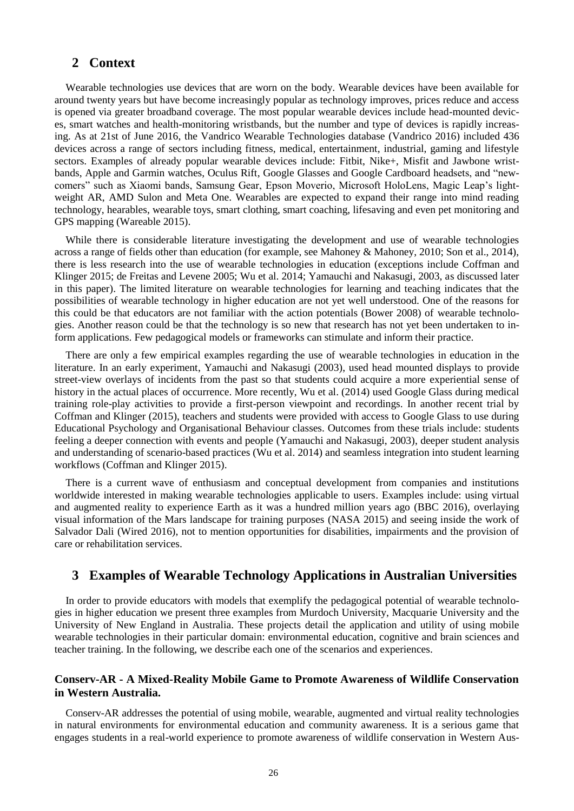#### **2 Context**

Wearable technologies use devices that are worn on the body. Wearable devices have been available for around twenty years but have become increasingly popular as technology improves, prices reduce and access is opened via greater broadband coverage. The most popular wearable devices include head-mounted devices, smart watches and health-monitoring wristbands, but the number and type of devices is rapidly increasing. As at 21st of June 2016, the Vandrico Wearable Technologies database (Vandrico 2016) included 436 devices across a range of sectors including fitness, medical, entertainment, industrial, gaming and lifestyle sectors. Examples of already popular wearable devices include: Fitbit, Nike+, Misfit and Jawbone wristbands, Apple and Garmin watches, Oculus Rift, Google Glasses and Google Cardboard headsets, and "newcomers" such as Xiaomi bands, Samsung Gear, Epson Moverio, Microsoft HoloLens, Magic Leap's lightweight AR, AMD Sulon and Meta One. Wearables are expected to expand their range into mind reading technology, hearables, wearable toys, smart clothing, smart coaching, lifesaving and even pet monitoring and GPS mapping (Wareable 2015).

While there is considerable literature investigating the development and use of wearable technologies across a range of fields other than education (for example, see Mahoney & Mahoney, 2010; Son et al., 2014), there is less research into the use of wearable technologies in education (exceptions include Coffman and Klinger 2015; de Freitas and Levene 2005; Wu et al. 2014; Yamauchi and Nakasugi, 2003, as discussed later in this paper). The limited literature on wearable technologies for learning and teaching indicates that the possibilities of wearable technology in higher education are not yet well understood. One of the reasons for this could be that educators are not familiar with the action potentials (Bower 2008) of wearable technologies. Another reason could be that the technology is so new that research has not yet been undertaken to inform applications. Few pedagogical models or frameworks can stimulate and inform their practice.

There are only a few empirical examples regarding the use of wearable technologies in education in the literature. In an early experiment, Yamauchi and Nakasugi (2003), used head mounted displays to provide street-view overlays of incidents from the past so that students could acquire a more experiential sense of history in the actual places of occurrence. More recently, Wu et al. (2014) used Google Glass during medical training role-play activities to provide a first-person viewpoint and recordings. In another recent trial by Coffman and Klinger (2015), teachers and students were provided with access to Google Glass to use during Educational Psychology and Organisational Behaviour classes. Outcomes from these trials include: students feeling a deeper connection with events and people (Yamauchi and Nakasugi, 2003), deeper student analysis and understanding of scenario-based practices (Wu et al. 2014) and seamless integration into student learning workflows (Coffman and Klinger 2015).

There is a current wave of enthusiasm and conceptual development from companies and institutions worldwide interested in making wearable technologies applicable to users. Examples include: using virtual and augmented reality to experience Earth as it was a hundred million years ago (BBC 2016), overlaying visual information of the Mars landscape for training purposes (NASA 2015) and seeing inside the work of Salvador Dali (Wired 2016), not to mention opportunities for disabilities, impairments and the provision of care or rehabilitation services.

## **3 Examples of Wearable Technology Applications in Australian Universities**

In order to provide educators with models that exemplify the pedagogical potential of wearable technologies in higher education we present three examples from Murdoch University, Macquarie University and the University of New England in Australia. These projects detail the application and utility of using mobile wearable technologies in their particular domain: environmental education, cognitive and brain sciences and teacher training. In the following, we describe each one of the scenarios and experiences.

#### **Conserv-AR - A Mixed-Reality Mobile Game to Promote Awareness of Wildlife Conservation in Western Australia.**

Conserv-AR addresses the potential of using mobile, wearable, augmented and virtual reality technologies in natural environments for environmental education and community awareness. It is a serious game that engages students in a real-world experience to promote awareness of wildlife conservation in Western Aus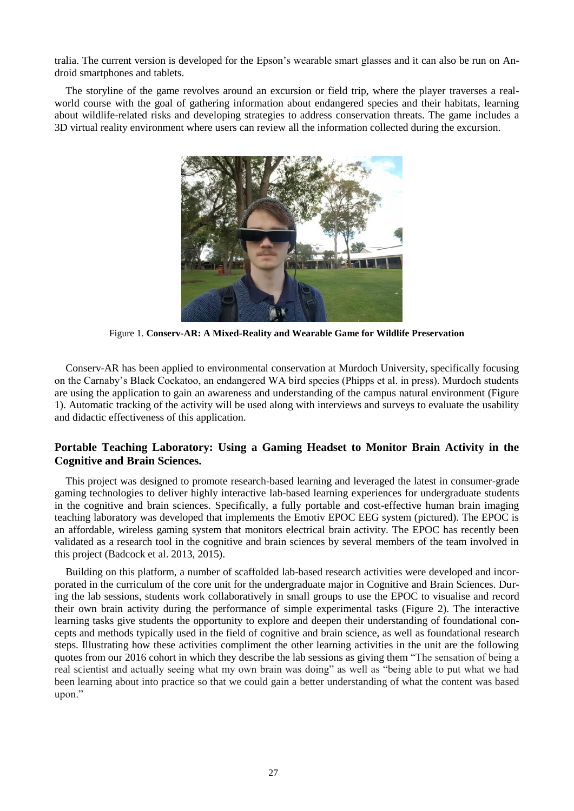tralia. The current version is developed for the Epson's wearable smart glasses and it can also be run on Android smartphones and tablets.

The storyline of the game revolves around an excursion or field trip, where the player traverses a realworld course with the goal of gathering information about endangered species and their habitats, learning about wildlife-related risks and developing strategies to address conservation threats. The game includes a 3D virtual reality environment where users can review all the information collected during the excursion.



Figure 1. **Conserv-AR: A Mixed-Reality and Wearable Game for Wildlife Preservation**

Conserv-AR has been applied to environmental conservation at Murdoch University, specifically focusing on the Carnaby's Black Cockatoo, an endangered WA bird species (Phipps et al. in press). Murdoch students are using the application to gain an awareness and understanding of the campus natural environment (Figure 1). Automatic tracking of the activity will be used along with interviews and surveys to evaluate the usability and didactic effectiveness of this application.

#### **Portable Teaching Laboratory: Using a Gaming Headset to Monitor Brain Activity in the Cognitive and Brain Sciences.**

This project was designed to promote research-based learning and leveraged the latest in consumer-grade gaming technologies to deliver highly interactive lab-based learning experiences for undergraduate students in the cognitive and brain sciences. Specifically, a fully portable and cost-effective human brain imaging teaching laboratory was developed that implements the Emotiv EPOC EEG system (pictured). The EPOC is an affordable, wireless gaming system that monitors electrical brain activity. The EPOC has recently been validated as a research tool in the cognitive and brain sciences by several members of the team involved in this project (Badcock et al. 2013, 2015).

Building on this platform, a number of scaffolded lab-based research activities were developed and incorporated in the curriculum of the core unit for the undergraduate major in Cognitive and Brain Sciences. During the lab sessions, students work collaboratively in small groups to use the EPOC to visualise and record their own brain activity during the performance of simple experimental tasks (Figure 2). The interactive learning tasks give students the opportunity to explore and deepen their understanding of foundational concepts and methods typically used in the field of cognitive and brain science, as well as foundational research steps. Illustrating how these activities compliment the other learning activities in the unit are the following quotes from our 2016 cohort in which they describe the lab sessions as giving them "The sensation of being a real scientist and actually seeing what my own brain was doing" as well as "being able to put what we had been learning about into practice so that we could gain a better understanding of what the content was based upon."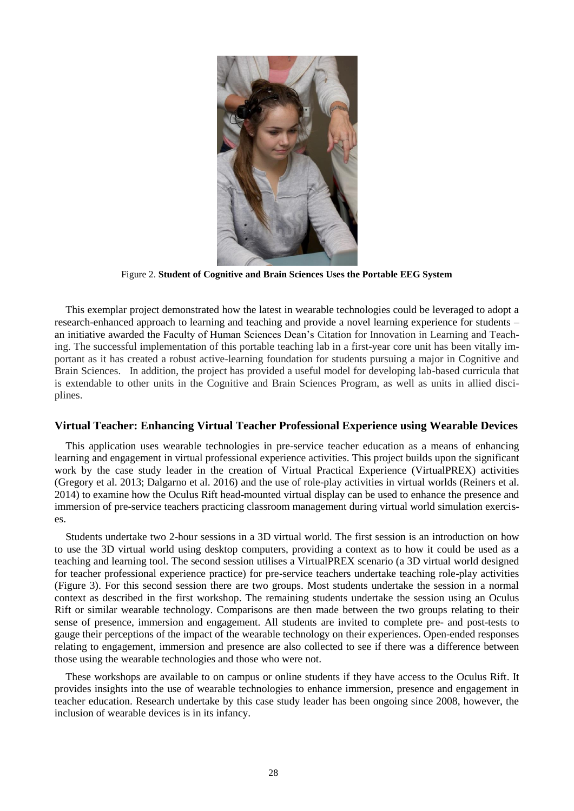

Figure 2. **Student of Cognitive and Brain Sciences Uses the Portable EEG System**

This exemplar project demonstrated how the latest in wearable technologies could be leveraged to adopt a research-enhanced approach to learning and teaching and provide a novel learning experience for students – an initiative awarded the Faculty of Human Sciences Dean's Citation for Innovation in Learning and Teaching. The successful implementation of this portable teaching lab in a first-year core unit has been vitally important as it has created a robust active-learning foundation for students pursuing a major in Cognitive and Brain Sciences. In addition, the project has provided a useful model for developing lab-based curricula that is extendable to other units in the Cognitive and Brain Sciences Program, as well as units in allied disciplines.

#### **Virtual Teacher: Enhancing Virtual Teacher Professional Experience using Wearable Devices**

This application uses wearable technologies in pre-service teacher education as a means of enhancing learning and engagement in virtual professional experience activities. This project builds upon the significant work by the case study leader in the creation of Virtual Practical Experience (VirtualPREX) activities (Gregory et al. 2013; Dalgarno et al. 2016) and the use of role-play activities in virtual worlds (Reiners et al. 2014) to examine how the Oculus Rift head-mounted virtual display can be used to enhance the presence and immersion of pre-service teachers practicing classroom management during virtual world simulation exercises.

Students undertake two 2-hour sessions in a 3D virtual world. The first session is an introduction on how to use the 3D virtual world using desktop computers, providing a context as to how it could be used as a teaching and learning tool. The second session utilises a VirtualPREX scenario (a 3D virtual world designed for teacher professional experience practice) for pre-service teachers undertake teaching role-play activities (Figure 3). For this second session there are two groups. Most students undertake the session in a normal context as described in the first workshop. The remaining students undertake the session using an Oculus Rift or similar wearable technology. Comparisons are then made between the two groups relating to their sense of presence, immersion and engagement. All students are invited to complete pre- and post-tests to gauge their perceptions of the impact of the wearable technology on their experiences. Open-ended responses relating to engagement, immersion and presence are also collected to see if there was a difference between those using the wearable technologies and those who were not.

These workshops are available to on campus or online students if they have access to the Oculus Rift. It provides insights into the use of wearable technologies to enhance immersion, presence and engagement in teacher education. Research undertake by this case study leader has been ongoing since 2008, however, the inclusion of wearable devices is in its infancy.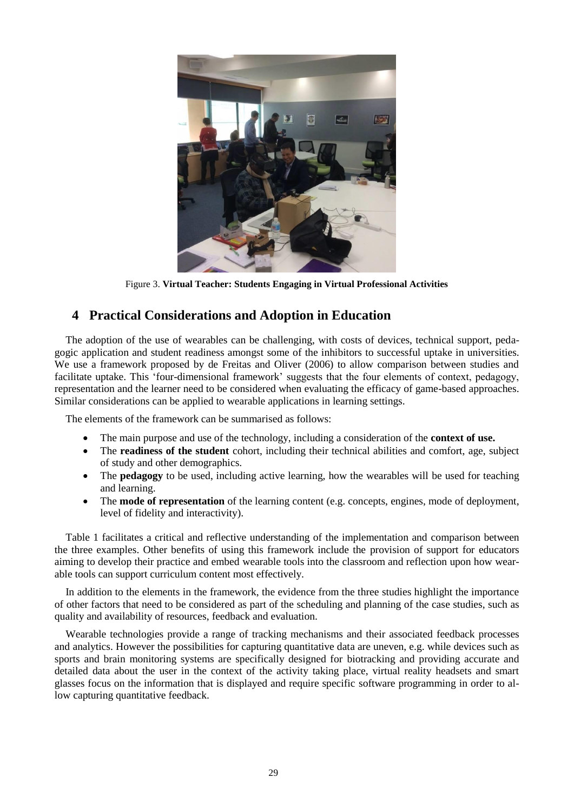

Figure 3. **Virtual Teacher: Students Engaging in Virtual Professional Activities**

# **4 Practical Considerations and Adoption in Education**

The adoption of the use of wearables can be challenging, with costs of devices, technical support, pedagogic application and student readiness amongst some of the inhibitors to successful uptake in universities. We use a framework proposed by de Freitas and Oliver (2006) to allow comparison between studies and facilitate uptake. This 'four-dimensional framework' suggests that the four elements of context, pedagogy, representation and the learner need to be considered when evaluating the efficacy of game-based approaches. Similar considerations can be applied to wearable applications in learning settings.

The elements of the framework can be summarised as follows:

- The main purpose and use of the technology, including a consideration of the **context of use.**
- The **readiness of the student** cohort, including their technical abilities and comfort, age, subject of study and other demographics.
- The **pedagogy** to be used, including active learning, how the wearables will be used for teaching and learning.
- The **mode of representation** of the learning content (e.g. concepts, engines, mode of deployment, level of fidelity and interactivity).

Table 1 facilitates a critical and reflective understanding of the implementation and comparison between the three examples. Other benefits of using this framework include the provision of support for educators aiming to develop their practice and embed wearable tools into the classroom and reflection upon how wearable tools can support curriculum content most effectively.

In addition to the elements in the framework, the evidence from the three studies highlight the importance of other factors that need to be considered as part of the scheduling and planning of the case studies, such as quality and availability of resources, feedback and evaluation.

Wearable technologies provide a range of tracking mechanisms and their associated feedback processes and analytics. However the possibilities for capturing quantitative data are uneven, e.g. while devices such as sports and brain monitoring systems are specifically designed for biotracking and providing accurate and detailed data about the user in the context of the activity taking place, virtual reality headsets and smart glasses focus on the information that is displayed and require specific software programming in order to allow capturing quantitative feedback.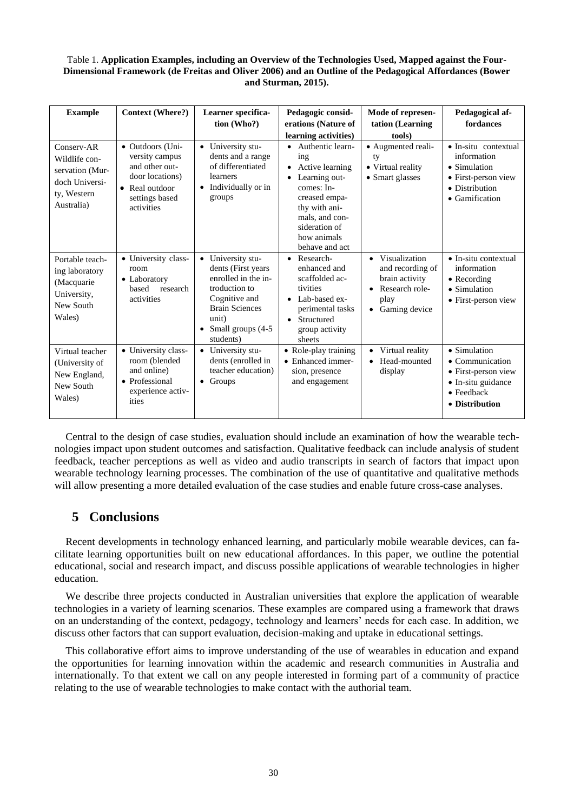#### Table 1. **Application Examples, including an Overview of the Technologies Used, Mapped against the Four-Dimensional Framework (de Freitas and Oliver 2006) and an Outline of the Pedagogical Affordances (Bower and Sturman, 2015).**

| <b>Example</b>                                                                                | <b>Context (Where?)</b>                                                                                                   | Learner specifica-<br>tion (Who?)                                                                                                                                                  | Pedagogic consid-<br>erations (Nature of<br>learning activities)                                                                                                                | Mode of represen-<br>tation (Learning<br>tools)                                                               | Pedagogical af-<br>fordances                                                                                                   |
|-----------------------------------------------------------------------------------------------|---------------------------------------------------------------------------------------------------------------------------|------------------------------------------------------------------------------------------------------------------------------------------------------------------------------------|---------------------------------------------------------------------------------------------------------------------------------------------------------------------------------|---------------------------------------------------------------------------------------------------------------|--------------------------------------------------------------------------------------------------------------------------------|
| Conserv-AR<br>Wildlife con-<br>servation (Mur-<br>doch Universi-<br>ty, Western<br>Australia) | • Outdoors (Uni-<br>versity campus<br>and other out-<br>door locations)<br>• Real outdoor<br>settings based<br>activities | • University stu-<br>dents and a range<br>of differentiated<br>learners<br>• Individually or in<br>groups                                                                          | Authentic learn-<br>ing<br>Active learning<br>Learning out-<br>comes: In-<br>creased empa-<br>thy with ani-<br>mals, and con-<br>sideration of<br>how animals<br>behave and act | · Augmented reali-<br>ty<br>• Virtual reality<br>• Smart glasses                                              | $\bullet$ In-situ contextual<br>information<br>$\bullet$ Simulation<br>• First-person view<br>• Distribution<br>• Gamification |
| Portable teach-<br>ing laboratory<br>(Macquarie<br>University,<br>New South<br>Wales)         | • University class-<br>room<br>• Laboratory<br>based<br>research<br>activities                                            | • University stu-<br>dents (First years<br>enrolled in the in-<br>troduction to<br>Cognitive and<br><b>Brain Sciences</b><br>unit)<br>Small groups (4-5)<br>$\bullet$<br>students) | Research-<br>$\bullet$<br>enhanced and<br>scaffolded ac-<br>tivities<br>Lab-based ex-<br>perimental tasks<br>Structured<br>group activity<br>sheets                             | • Visualization<br>and recording of<br>brain activity<br>Research role-<br>play<br>Gaming device<br>$\bullet$ | $\bullet$ In-situ contextual<br>information<br>$\bullet$ Recording<br>• Simulation<br>• First-person view                      |
| Virtual teacher<br>(University of<br>New England,<br>New South<br>Wales)                      | • University class-<br>room (blended<br>and online)<br>• Professional<br>experience activ-<br>ities                       | • University stu-<br>dents (enrolled in<br>teacher education)<br>$\bullet$ Groups                                                                                                  | • Role-play training<br>• Enhanced immer-<br>sion, presence<br>and engagement                                                                                                   | Virtual reality<br>$\bullet$<br>Head-mounted<br>display                                                       | • Simulation<br>$\bullet$ Communication<br>• First-person view<br>• In-situ guidance<br>$\bullet$ Feedback<br>• Distribution   |

Central to the design of case studies, evaluation should include an examination of how the wearable technologies impact upon student outcomes and satisfaction. Qualitative feedback can include analysis of student feedback, teacher perceptions as well as video and audio transcripts in search of factors that impact upon wearable technology learning processes. The combination of the use of quantitative and qualitative methods will allow presenting a more detailed evaluation of the case studies and enable future cross-case analyses.

# **5 Conclusions**

Recent developments in technology enhanced learning, and particularly mobile wearable devices, can facilitate learning opportunities built on new educational affordances. In this paper, we outline the potential educational, social and research impact, and discuss possible applications of wearable technologies in higher education.

We describe three projects conducted in Australian universities that explore the application of wearable technologies in a variety of learning scenarios. These examples are compared using a framework that draws on an understanding of the context, pedagogy, technology and learners' needs for each case. In addition, we discuss other factors that can support evaluation, decision-making and uptake in educational settings.

This collaborative effort aims to improve understanding of the use of wearables in education and expand the opportunities for learning innovation within the academic and research communities in Australia and internationally. To that extent we call on any people interested in forming part of a community of practice relating to the use of wearable technologies to make contact with the authorial team.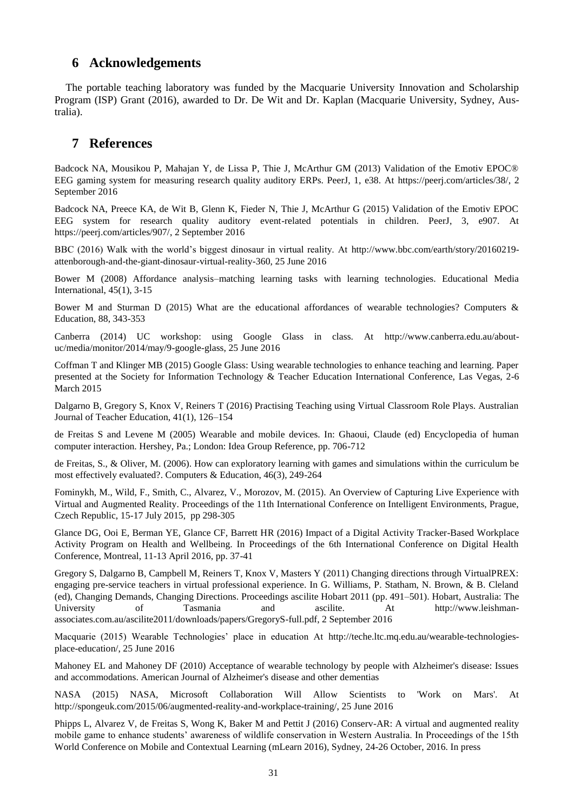## **6 Acknowledgements**

The portable teaching laboratory was funded by the Macquarie University Innovation and Scholarship Program (ISP) Grant (2016), awarded to Dr. De Wit and Dr. Kaplan (Macquarie University, Sydney, Australia).

## **7 References**

Badcock NA, Mousikou P, Mahajan Y, de Lissa P, Thie J, McArthur GM (2013) Validation of the Emotiv EPOC® EEG gaming system for measuring research quality auditory ERPs. PeerJ, 1, e38. At [https://peerj.com/articles/38/,](https://peerj.com/articles/38/) 2 September 2016

Badcock NA, Preece KA, de Wit B, Glenn K, Fieder N, Thie J, McArthur G (2015) Validation of the Emotiv EPOC EEG system for research quality auditory event-related potentials in children. PeerJ, 3, e907. At [https://peerj.com/articles/907/,](https://peerj.com/articles/907/) 2 September 2016

BBC (2016) Walk with the world's biggest dinosaur in virtual reality. At [http://www.bbc.com/earth/story/20160219](http://www.bbc.com/earth/story/20160219-attenborough-and-the-giant-dinosaur-virtual-reality-360) [attenborough-and-the-giant-dinosaur-virtual-reality-360,](http://www.bbc.com/earth/story/20160219-attenborough-and-the-giant-dinosaur-virtual-reality-360) 25 June 2016

Bower M (2008) Affordance analysis–matching learning tasks with learning technologies. Educational Media International, 45(1), 3-15

Bower M and Sturman D (2015) What are the educational affordances of wearable technologies? Computers & Education, 88, 343-353

Canberra (2014) UC workshop: using Google Glass in class. At [http://www.canberra.edu.au/about](http://www.canberra.edu.au/about-uc/media/monitor/2014/may/9-google-glass)[uc/media/monitor/2014/may/9-google-glass,](http://www.canberra.edu.au/about-uc/media/monitor/2014/may/9-google-glass) 25 June 2016

Coffman T and Klinger MB (2015) Google Glass: Using wearable technologies to enhance teaching and learning. Paper presented at the Society for Information Technology & Teacher Education International Conference, Las Vegas, 2-6 March 2015

Dalgarno B, Gregory S, Knox V, Reiners T (2016) Practising Teaching using Virtual Classroom Role Plays. Australian Journal of Teacher Education, 41(1), 126–154

de Freitas S and Levene M (2005) Wearable and mobile devices. In: Ghaoui, Claude (ed) Encyclopedia of human computer interaction. Hershey, Pa.; London: Idea Group Reference, pp. 706-712

de Freitas, S., & Oliver, M. (2006). How can exploratory learning with games and simulations within the curriculum be most effectively evaluated?. Computers & Education, 46(3), 249-264

Fominykh, M., Wild, F., Smith, C., Alvarez, V., Morozov, M. (2015). [An Overview of Capturing Live Experience with](http://mikhailfominykh.com/res/Fominykh_Wild_Smith_Alvarez_Morozov_iLRN2015_preprint.pdf)  [Virtual and Augmented Reality.](http://mikhailfominykh.com/res/Fominykh_Wild_Smith_Alvarez_Morozov_iLRN2015_preprint.pdf) Proceedings of the 11th International Conference on Intelligent Environments, Prague, Czech Republic, 15-17 July 2015, pp 298-305

Glance DG, Ooi E, Berman YE, Glance CF, Barrett HR (2016) Impact of a Digital Activity Tracker-Based Workplace Activity Program on Health and Wellbeing. In Proceedings of the 6th International Conference on Digital Health Conference, Montreal, 11-13 April 2016, pp. 37-41

Gregory S, Dalgarno B, Campbell M, Reiners T, Knox V, Masters Y (2011) Changing directions through VirtualPREX: engaging pre-service teachers in virtual professional experience. In G. Williams, P. Statham, N. Brown, & B. Cleland (ed), Changing Demands, Changing Directions. Proceedings ascilite Hobart 2011 (pp. 491–501). Hobart, Australia: The University of Tasmania and ascilite. At [http://www.leishman](http://www.leishman-associates.com.au/ascilite2011/downloads/papers/GregoryS-full.pdf)[associates.com.au/ascilite2011/downloads/papers/GregoryS-full.pdf, 2 September 2016](http://www.leishman-associates.com.au/ascilite2011/downloads/papers/GregoryS-full.pdf)

Macquarie (2015) Wearable Technologies' place in education At [http://teche.ltc.mq.edu.au/wearable-technologies](http://teche.ltc.mq.edu.au/wearable-technologies-place-education/)[place-education/,](http://teche.ltc.mq.edu.au/wearable-technologies-place-education/) 25 June 2016

Mahoney EL and Mahoney DF (2010) Acceptance of wearable technology by people with Alzheimer's disease: Issues and accommodations. American Journal of Alzheimer's disease and other dementias

NASA (2015) NASA, Microsoft Collaboration Will Allow Scientists to 'Work on Mars'. At [http://spongeuk.com/2015/06/augmented-reality-and-workplace-training/,](http://spongeuk.com/2015/06/augmented-reality-and-workplace-training/) 25 June 2016

Phipps L, Alvarez V, de Freitas S, Wong K, Baker M and Pettit J (2016) Conserv-AR: A virtual and augmented reality mobile game to enhance students' awareness of wildlife conservation in Western Australia. In Proceedings of the 15th World Conference on Mobile and Contextual Learning (mLearn 2016), Sydney, 24-26 October, 2016. In press